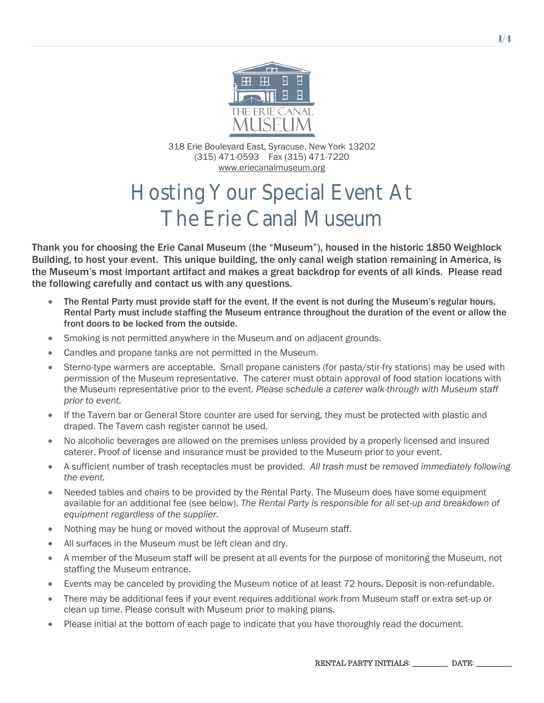

318 Erie Boulevard East, Syracuse, New York 13202 (315) 471-0593 Fax (315) 471-7220 [www.eriecanalmuseum.org](http://www.eriecanalmuseum.org/)

# Hosting Your Special Event At The Erie Canal Museum

Thank you for choosing the Erie Canal Museum (the "Museum"), housed in the historic 1850 Weighlock Building, to host your event. This unique building, the only canal weigh station remaining in America, is the Museum's most important artifact and makes a great backdrop for events of all kinds. Please read the following carefully and contact us with any questions.

- The Rental Party must provide staff for the event. If the event is not during the Museum's regular hours, Rental Party must include staffing the Museum entrance throughout the duration of the event or allow the front doors to be locked from the outside.
- Smoking is not permitted anywhere in the Museum and on adjacent grounds.
- Candles and propane tanks are not permitted in the Museum.
- Sterno-type warmers are acceptable. Small propane canisters (for pasta/stir-fry stations) may be used with permission of the Museum representative. The caterer must obtain approval of food station locations with the Museum representative prior to the event. *Please schedule a caterer walk-through with Museum staff prior to event.*
- If the Tavern bar or General Store counter are used for serving, they must be protected with plastic and draped. The Tavern cash register cannot be used.
- No alcoholic beverages are allowed on the premises unless provided by a properly licensed and insured caterer. Proof of license and insurance must be provided to the Museum prior to your event.
- A sufficient number of trash receptacles must be provided. *All trash must be removed immediately following the event.*
- Needed tables and chairs to be provided by the Rental Party. The Museum does have some equipment available for an additional fee (see below). *The Rental Party is responsible for all set-up and breakdown of equipment regardless of the supplier.*
- Nothing may be hung or moved without the approval of Museum staff.
- All surfaces in the Museum must be left clean and dry.
- A member of the Museum staff will be present at all events for the purpose of monitoring the Museum, not staffing the Museum entrance.
- Events may be canceled by providing the Museum notice of at least 72 hours. Deposit is non-refundable.
- There may be additional fees if your event requires additional work from Museum staff or extra set-up or clean up time. Please consult with Museum prior to making plans.
- Please initial at the bottom of each page to indicate that you have thoroughly read the document.

RENTAL PARTY INITIALS: \_\_\_\_\_\_\_\_\_\_ DATE: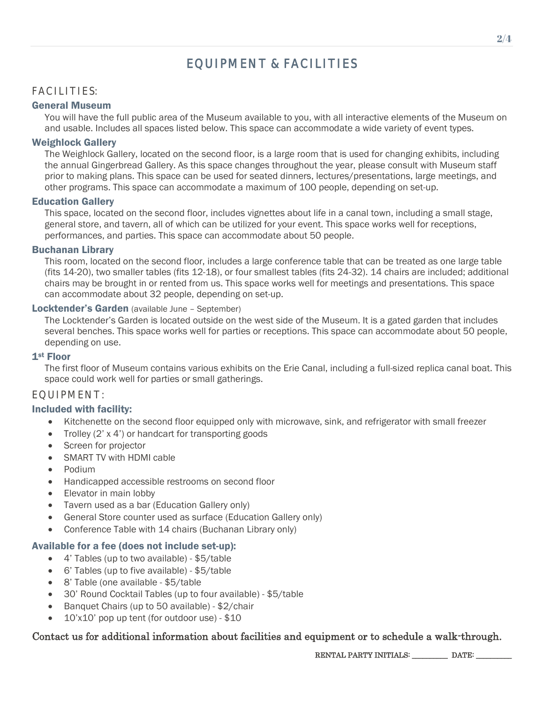## EQUIPMENT & FACILITIES

#### FACILITIES:

#### General Museum

You will have the full public area of the Museum available to you, with all interactive elements of the Museum on and usable. Includes all spaces listed below. This space can accommodate a wide variety of event types.

#### Weighlock Gallery

The Weighlock Gallery, located on the second floor, is a large room that is used for changing exhibits, including the annual Gingerbread Gallery. As this space changes throughout the year, please consult with Museum staff prior to making plans. This space can be used for seated dinners, lectures/presentations, large meetings, and other programs. This space can accommodate a maximum of 100 people, depending on set-up.

#### Education Gallery

This space, located on the second floor, includes vignettes about life in a canal town, including a small stage, general store, and tavern, all of which can be utilized for your event. This space works well for receptions, performances, and parties. This space can accommodate about 50 people.

#### Buchanan Library

This room, located on the second floor, includes a large conference table that can be treated as one large table (fits 14-20), two smaller tables (fits 12-18), or four smallest tables (fits 24-32). 14 chairs are included; additional chairs may be brought in or rented from us. This space works well for meetings and presentations. This space can accommodate about 32 people, depending on set-up.

#### Locktender's Garden (available June – September)

The Locktender's Garden is located outside on the west side of the Museum. It is a gated garden that includes several benches. This space works well for parties or receptions. This space can accommodate about 50 people, depending on use.

#### 1st Floor

The first floor of Museum contains various exhibits on the Erie Canal, including a full-sized replica canal boat. This space could work well for parties or small gatherings.

#### EQUIPMENT:

#### Included with facility:

- Kitchenette on the second floor equipped only with microwave, sink, and refrigerator with small freezer
- Trolley (2' x 4') or handcart for transporting goods
- Screen for projector
- SMART TV with HDMI cable
- Podium
- Handicapped accessible restrooms on second floor
- Elevator in main lobby
- Tavern used as a bar (Education Gallery only)
- General Store counter used as surface (Education Gallery only)
- Conference Table with 14 chairs (Buchanan Library only)

#### Available for a fee (does not include set-up):

- 4' Tables (up to two available) \$5/table
- 6' Tables (up to five available) \$5/table
- 8' Table (one available \$5/table
- 30' Round Cocktail Tables (up to four available) \$5/table
- Banquet Chairs (up to 50 available) \$2/chair
- 10'x10' pop up tent (for outdoor use) \$10

#### Contact us for additional information about facilities and equipment or to schedule a walk-through.

RENTAL PARTY INITIALS: \_\_\_\_\_\_\_\_\_\_\_ DATE: \_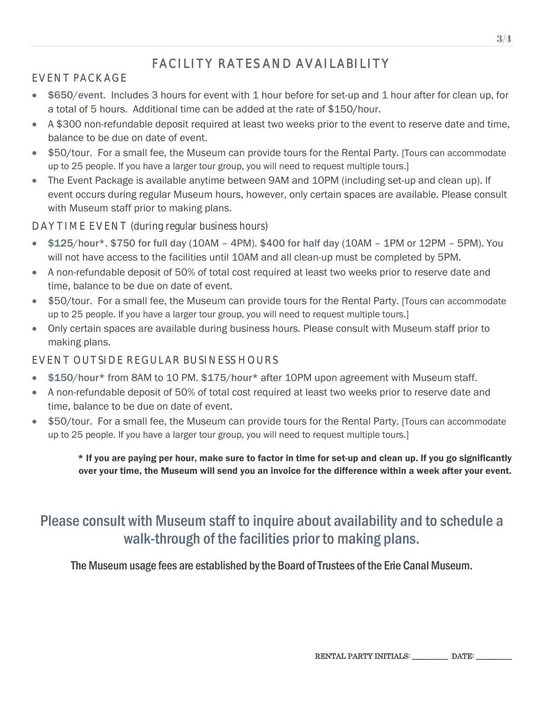# FACILITY RATES AND AVAILABILITY

## EVENT PACKAGE

- \$650/event. Includes 3 hours for event with 1 hour before for set-up and 1 hour after for clean up, for a total of 5 hours. Additional time can be added at the rate of \$150/hour.
- A \$300 non-refundable deposit required at least two weeks prior to the event to reserve date and time, balance to be due on date of event.
- \$50/tour. For a small fee, the Museum can provide tours for the Rental Party. [Tours can accommodate up to 25 people. If you have a larger tour group, you will need to request multiple tours.]
- The Event Package is available anytime between 9AM and 10PM (including set-up and clean up). If event occurs during regular Museum hours, however, only certain spaces are available. Please consult with Museum staff prior to making plans.

## DAYTIME EVENT (during regular business hours)

- \$125/hour\*. \$750 for full day (10AM 4PM). \$400 for half day (10AM 1PM or 12PM 5PM). You will not have access to the facilities until 10AM and all clean-up must be completed by 5PM.
- A non-refundable deposit of 50% of total cost required at least two weeks prior to reserve date and time, balance to be due on date of event.
- \$50/tour. For a small fee, the Museum can provide tours for the Rental Party. [Tours can accommodate up to 25 people. If you have a larger tour group, you will need to request multiple tours.]
- Only certain spaces are available during business hours. Please consult with Museum staff prior to making plans.

## EVENT OUTSIDE REGULAR BUSINESS HOURS

- \$150/hour\* from 8AM to 10 PM. \$175/hour\* after 10PM upon agreement with Museum staff.
- A non-refundable deposit of 50% of total cost required at least two weeks prior to reserve date and time, balance to be due on date of event.
- \$50/tour. For a small fee, the Museum can provide tours for the Rental Party. [Tours can accommodate up to 25 people. If you have a larger tour group, you will need to request multiple tours.]

\* If you are paying per hour, make sure to factor in time for set-up and clean up. If you go significantly over your time, the Museum will send you an invoice for the difference within a week after your event.

# Please consult with Museum staff to inquire about availability and to schedule a walk-through of the facilities prior to making plans.

The Museum usage fees are established by the Board of Trustees of the Erie Canal Museum.